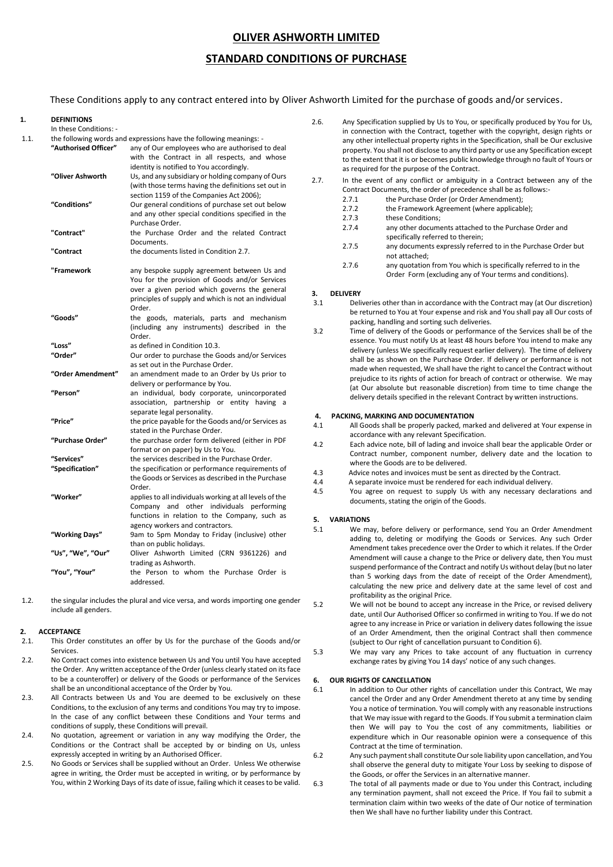## **OLIVER ASHWORTH LIMITED**

## **STANDARD CONDITIONS OF PURCHASE**

These Conditions apply to any contract entered into by Oliver Ashworth Limited for the purchase of goods and/or services.

## **1. DEFINITIONS**

In these Conditions: -

| 1.1. | "Authorised Officer" | the following words and expressions have the following meanings: -<br>any of Our employees who are authorised to deal<br>with the Contract in all respects, and whose<br>identity is notified to You accordingly. |
|------|----------------------|-------------------------------------------------------------------------------------------------------------------------------------------------------------------------------------------------------------------|
|      | "Oliver Ashworth     | Us, and any subsidiary or holding company of Ours<br>(with those terms having the definitions set out in<br>section 1159 of the Companies Act 2006);                                                              |
|      | "Conditions"         | Our general conditions of purchase set out below<br>and any other special conditions specified in the<br>Purchase Order.                                                                                          |
|      | "Contract"           | the Purchase Order and the related Contract<br>Documents.                                                                                                                                                         |
|      | "Contract            | the documents listed in Condition 2.7.                                                                                                                                                                            |
|      | "Framework           | any bespoke supply agreement between Us and<br>You for the provision of Goods and/or Services<br>over a given period which governs the general<br>principles of supply and which is not an individual<br>Order.   |
|      | "Goods"              | the goods, materials, parts and mechanism<br>(including any instruments) described in the<br>Order.                                                                                                               |
|      | "Loss"               | as defined in Condition 10.3.                                                                                                                                                                                     |
|      | "Order"              | Our order to purchase the Goods and/or Services<br>as set out in the Purchase Order.                                                                                                                              |
|      | "Order Amendment"    | an amendment made to an Order by Us prior to<br>delivery or performance by You.                                                                                                                                   |
|      | "Person"             | an individual, body corporate, unincorporated<br>association, partnership or entity having a<br>separate legal personality.                                                                                       |
|      | "Price"              | the price payable for the Goods and/or Services as<br>stated in the Purchase Order.                                                                                                                               |
|      | "Purchase Order"     | the purchase order form delivered (either in PDF<br>format or on paper) by Us to You.                                                                                                                             |
|      | "Services"           | the services described in the Purchase Order.                                                                                                                                                                     |
|      | "Specification"      | the specification or performance requirements of<br>the Goods or Services as described in the Purchase<br>Order.                                                                                                  |
|      | "Worker"             | applies to all individuals working at all levels of the<br>Company and other individuals performing<br>functions in relation to the Company, such as<br>agency workers and contractors.                           |
|      | "Working Days"       | 9am to 5pm Monday to Friday (inclusive) other<br>than on public holidays.                                                                                                                                         |
|      | "Us", "We", "Our"    | Oliver Ashworth Limited (CRN 9361226) and<br>trading as Ashworth.                                                                                                                                                 |
|      | "You", "Your"        | the Person to whom the Purchase Order is<br>addressed.                                                                                                                                                            |

1.2. the singular includes the plural and vice versa, and words importing one gender include all genders.

#### **2. ACCEPTANCE**

- 2.1. This Order constitutes an offer by Us for the purchase of the Goods and/or Services.
- 2.2. No Contract comes into existence between Us and You until You have accepted the Order. Any written acceptance of the Order (unless clearly stated on its face to be a counteroffer) or delivery of the Goods or performance of the Services shall be an unconditional acceptance of the Order by You.
- 2.3. All Contracts between Us and You are deemed to be exclusively on these Conditions, to the exclusion of any terms and conditions You may try to impose. In the case of any conflict between these Conditions and Your terms and conditions of supply, these Conditions will prevail.
- 2.4. No quotation, agreement or variation in any way modifying the Order, the Conditions or the Contract shall be accepted by or binding on Us, unless expressly accepted in writing by an Authorised Officer.
- 2.5. No Goods or Services shall be supplied without an Order. Unless We otherwise agree in writing, the Order must be accepted in writing, or by performance by You, within 2 Working Days of its date of issue, failing which it ceases to be valid.
- 2.6. Any Specification supplied by Us to You, or specifically produced by You for Us, in connection with the Contract, together with the copyright, design rights or any other intellectual property rights in the Specification, shall be Our exclusive property. You shall not disclose to any third party or use any Specification except to the extent that it is or becomes public knowledge through no fault of Yours or as required for the purpose of the Contract.
- 2.7. In the event of any conflict or ambiguity in a Contract between any of the Contract Documents, the order of precedence shall be as follows:-
	- 2.7.1 the Purchase Order (or Order Amendment);<br>2.7.2 the Framework Agreement (where applicab
		- the Framework Agreement (where applicable):
		- 2.7.3 these Conditions;
		- 2.7.4 any other documents attached to the Purchase Order and specifically referred to therein;
		- 2.7.5 any documents expressly referred to in the Purchase Order but not attached;
	- 2.7.6 any quotation from You which is specifically referred to in the Order Form (excluding any of Your terms and conditions).

#### **3. DELIVERY**

- 3.1 Deliveries other than in accordance with the Contract may (at Our discretion) be returned to You at Your expense and risk and You shall pay all Our costs of packing, handling and sorting such deliveries.
- 3.2 Time of delivery of the Goods or performance of the Services shall be of the essence. You must notify Us at least 48 hours before You intend to make any delivery (unless We specifically request earlier delivery). The time of delivery shall be as shown on the Purchase Order. If delivery or performance is not made when requested, We shall have the right to cancel the Contract without prejudice to its rights of action for breach of contract or otherwise. We may (at Our absolute but reasonable discretion) from time to time change the delivery details specified in the relevant Contract by written instructions.

#### **4. PACKING, MARKING AND DOCUMENTATION**

- 4.1 All Goods shall be properly packed, marked and delivered at Your expense in accordance with any relevant Specification.
- 4.2 Each advice note, bill of lading and invoice shall bear the applicable Order or Contract number, component number, delivery date and the location to where the Goods are to be delivered.
- 4.3 Advice notes and invoices must be sent as directed by the Contract.
- 4.4 A separate invoice must be rendered for each individual delivery.<br>4.5 You agree on request to supply Us with any necessary declared
- You agree on request to supply Us with any necessary declarations and documents, stating the origin of the Goods.

#### **5. VARIATIONS**

- 5.1 We may, before delivery or performance, send You an Order Amendment adding to, deleting or modifying the Goods or Services. Any such Order Amendment takes precedence over the Order to which it relates. If the Order Amendment will cause a change to the Price or delivery date, then You must suspend performance of the Contract and notify Us without delay (but no later than 5 working days from the date of receipt of the Order Amendment), calculating the new price and delivery date at the same level of cost and profitability as the original Price.
- 5.2 We will not be bound to accept any increase in the Price, or revised delivery date, until Our Authorised Officer so confirmed in writing to You. If we do not agree to any increase in Price or variation in delivery dates following the issue of an Order Amendment, then the original Contract shall then commence (subject to Our right of cancellation pursuant to Condition 6).
- 5.3 We may vary any Prices to take account of any fluctuation in currency exchange rates by giving You 14 days' notice of any such changes.

## **6. OUR RIGHTS OF CANCELLATION**

- 6.1 In addition to Our other rights of cancellation under this Contract, We may cancel the Order and any Order Amendment thereto at any time by sending You a notice of termination. You will comply with any reasonable instructions that We may issue with regard to the Goods. If You submit a termination claim then We will pay to You the cost of any commitments, liabilities or expenditure which in Our reasonable opinion were a consequence of this Contract at the time of termination.
- 6.2 Any such payment shall constitute Our sole liability upon cancellation, and You shall observe the general duty to mitigate Your Loss by seeking to dispose of the Goods, or offer the Services in an alternative manner.
- 6.3 The total of all payments made or due to You under this Contract, including any termination payment, shall not exceed the Price. If You fail to submit a termination claim within two weeks of the date of Our notice of termination then We shall have no further liability under this Contract.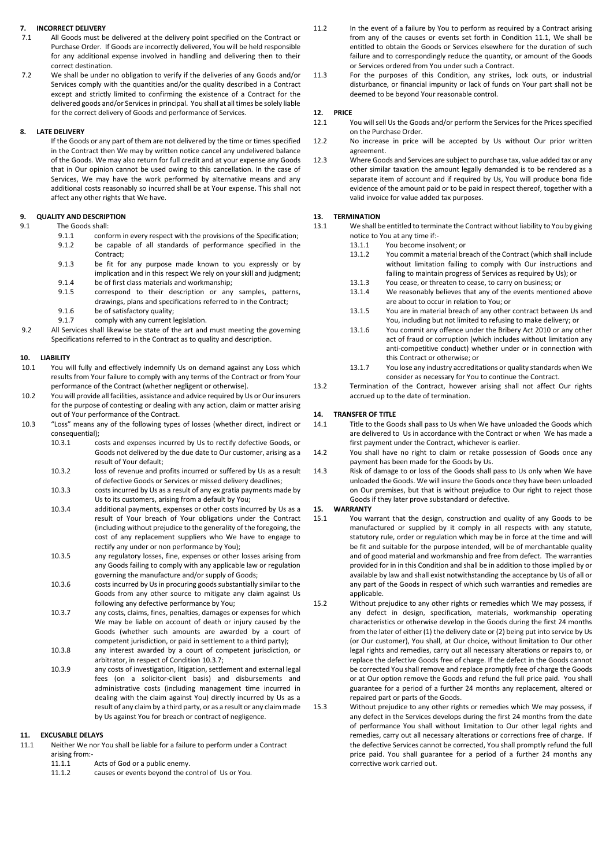# **7. INCORRECT DELIVERY**

- All Goods must be delivered at the delivery point specified on the Contract or Purchase Order. If Goods are incorrectly delivered, You will be held responsible for any additional expense involved in handling and delivering then to their correct destination.
- 7.2 We shall be under no obligation to verify if the deliveries of any Goods and/or Services comply with the quantities and/or the quality described in a Contract except and strictly limited to confirming the existence of a Contract for the delivered goods and/or Services in principal. You shall at all times be solely liable for the correct delivery of Goods and performance of Services.

## **8. LATE DELIVERY**

If the Goods or any part of them are not delivered by the time or times specified in the Contract then We may by written notice cancel any undelivered balance of the Goods. We may also return for full credit and at your expense any Goods that in Our opinion cannot be used owing to this cancellation. In the case of Services, We may have the work performed by alternative means and any additional costs reasonably so incurred shall be at Your expense. This shall not affect any other rights that We have.

# **9. QUALITY AND DESCRIPTION**

- The Goods shall:
	- 9.1.1 conform in every respect with the provisions of the Specification;
	- 9.1.2 be capable of all standards of performance specified in the Contract;
	- 9.1.3 be fit for any purpose made known to you expressly or by implication and in this respect We rely on your skill and judgment;
	- 9.1.4 be of first class materials and workmanship;<br>9.1.5 correspond to their description or any
	- correspond to their description or any samples, patterns, drawings, plans and specifications referred to in the Contract;
	- 9.1.6 be of satisfactory quality;
	- 9.1.7 comply with any current legislation.
- 9.2 All Services shall likewise be state of the art and must meeting the governing Specifications referred to in the Contract as to quality and description.

## **10. LIABILITY**

- 10.1 You will fully and effectively indemnify Us on demand against any Loss which results from Your failure to comply with any terms of the Contract or from Your performance of the Contract (whether negligent or otherwise).
- 10.2 You will provide all facilities, assistance and advice required by Us or Our insurers for the purpose of contesting or dealing with any action, claim or matter arising out of Your performance of the Contract.
- 10.3 "Loss" means any of the following types of losses (whether direct, indirect or consequential);
	- 10.3.1 costs and expenses incurred by Us to rectify defective Goods, or Goods not delivered by the due date to Our customer, arising as a result of Your default;
	- 10.3.2 loss of revenue and profits incurred or suffered by Us as a result of defective Goods or Services or missed delivery deadlines;
	- 10.3.3 costs incurred by Us as a result of any ex gratia payments made by Us to its customers, arising from a default by You;
	- 10.3.4 additional payments, expenses or other costs incurred by Us as a result of Your breach of Your obligations under the Contract (including without prejudice to the generality of the foregoing, the cost of any replacement suppliers who We have to engage to rectify any under or non performance by You);
	- 10.3.5 any regulatory losses, fine, expenses or other losses arising from any Goods failing to comply with any applicable law or regulation governing the manufacture and/or supply of Goods;
	- 10.3.6 costs incurred by Us in procuring goods substantially similar to the Goods from any other source to mitigate any claim against Us following any defective performance by You;
	- 10.3.7 any costs, claims, fines, penalties, damages or expenses for which We may be liable on account of death or injury caused by the Goods (whether such amounts are awarded by a court of competent jurisdiction, or paid in settlement to a third party);
	- 10.3.8 any interest awarded by a court of competent jurisdiction, or arbitrator, in respect of Condition 10.3.7;
	- 10.3.9 any costs of investigation, litigation, settlement and external legal fees (on a solicitor-client basis) and disbursements and administrative costs (including management time incurred in dealing with the claim against You) directly incurred by Us as a result of any claim by a third party, or as a result or any claim made by Us against You for breach or contract of negligence.

## **11. EXCUSABLE DELAYS**

- 11.1 Neither We nor You shall be liable for a failure to perform under a Contract arising from:<br>11.1.1
	- Acts of God or a public enemy.
	- 11.1.2 causes or events beyond the control of Us or You.
- 11.2 In the event of a failure by You to perform as required by a Contract arising from any of the causes or events set forth in Condition 11.1, We shall be entitled to obtain the Goods or Services elsewhere for the duration of such failure and to correspondingly reduce the quantity, or amount of the Goods or Services ordered from You under such a Contract.
- 11.3 For the purposes of this Condition, any strikes, lock outs, or industrial disturbance, or financial impunity or lack of funds on Your part shall not be deemed to be beyond Your reasonable control.

#### **12. PRICE**

- 12.1 You will sell Us the Goods and/or perform the Services for the Prices specified on the Purchase Order.
- 12.2 No increase in price will be accepted by Us without Our prior written agreement.
- 12.3 Where Goods and Services are subject to purchase tax, value added tax or any other similar taxation the amount legally demanded is to be rendered as a separate item of account and if required by Us, You will produce bona fide evidence of the amount paid or to be paid in respect thereof, together with a valid invoice for value added tax purposes.

#### **13. TERMINATION**

- 13.1 We shall be entitled to terminate the Contract without liability to You by giving notice to You at any time if:-
	- 13.1.1 You become insolvent; or<br>13.1.2 You commit a material br
		- You commit a material breach of the Contract (which shall include without limitation failing to comply with Our instructions and failing to maintain progress of Services as required by Us); or
		- 13.1.3 You cease, or threaten to cease, to carry on business; or 13.1.4 We reasonably believes that any of the events mentior
		- We reasonably believes that any of the events mentioned above are about to occur in relation to You; or
		- 13.1.5 You are in material breach of any other contract between Us and You, including but not limited to refusing to make delivery; or
		- 13.1.6 You commit any offence under the Bribery Act 2010 or any other act of fraud or corruption (which includes without limitation any anti-competitive conduct) whether under or in connection with this Contract or otherwise; or
	- 13.1.7 You lose any industry accreditations or quality standards when We consider as necessary for You to continue the Contract.
- 13.2 Termination of the Contract, however arising shall not affect Our rights accrued up to the date of termination.

#### **14. TRANSFER OF TITLE**

- 14.1 Title to the Goods shall pass to Us when We have unloaded the Goods which are delivered to Us in accordance with the Contract or when We has made a first payment under the Contract, whichever is earlier.
- 14.2 You shall have no right to claim or retake possession of Goods once any payment has been made for the Goods by Us.
- 14.3 Risk of damage to or loss of the Goods shall pass to Us only when We have unloaded the Goods. We will insure the Goods once they have been unloaded on Our premises, but that is without prejudice to Our right to reject those Goods if they later prove substandard or defective.

#### **15. WARRANTY**

- 15.1 You warrant that the design, construction and quality of any Goods to be manufactured or supplied by it comply in all respects with any statute, statutory rule, order or regulation which may be in force at the time and will be fit and suitable for the purpose intended, will be of merchantable quality and of good material and workmanship and free from defect. The warranties provided for in in this Condition and shall be in addition to those implied by or available by law and shall exist notwithstanding the acceptance by Us of all or any part of the Goods in respect of which such warranties and remedies are applicable.
- 15.2 Without prejudice to any other rights or remedies which We may possess, if any defect in design, specification, materials, workmanship operating characteristics or otherwise develop in the Goods during the first 24 months from the later of either (1) the delivery date or (2) being put into service by Us (or Our customer), You shall, at Our choice, without limitation to Our other legal rights and remedies, carry out all necessary alterations or repairs to, or replace the defective Goods free of charge. If the defect in the Goods cannot be corrected You shall remove and replace promptly free of charge the Goods or at Our option remove the Goods and refund the full price paid. You shall guarantee for a period of a further 24 months any replacement, altered or repaired part or parts of the Goods.
- 15.3 Without prejudice to any other rights or remedies which We may possess, if any defect in the Services develops during the first 24 months from the date of performance You shall without limitation to Our other legal rights and remedies, carry out all necessary alterations or corrections free of charge. If the defective Services cannot be corrected, You shall promptly refund the full price paid. You shall guarantee for a period of a further 24 months any corrective work carried out.